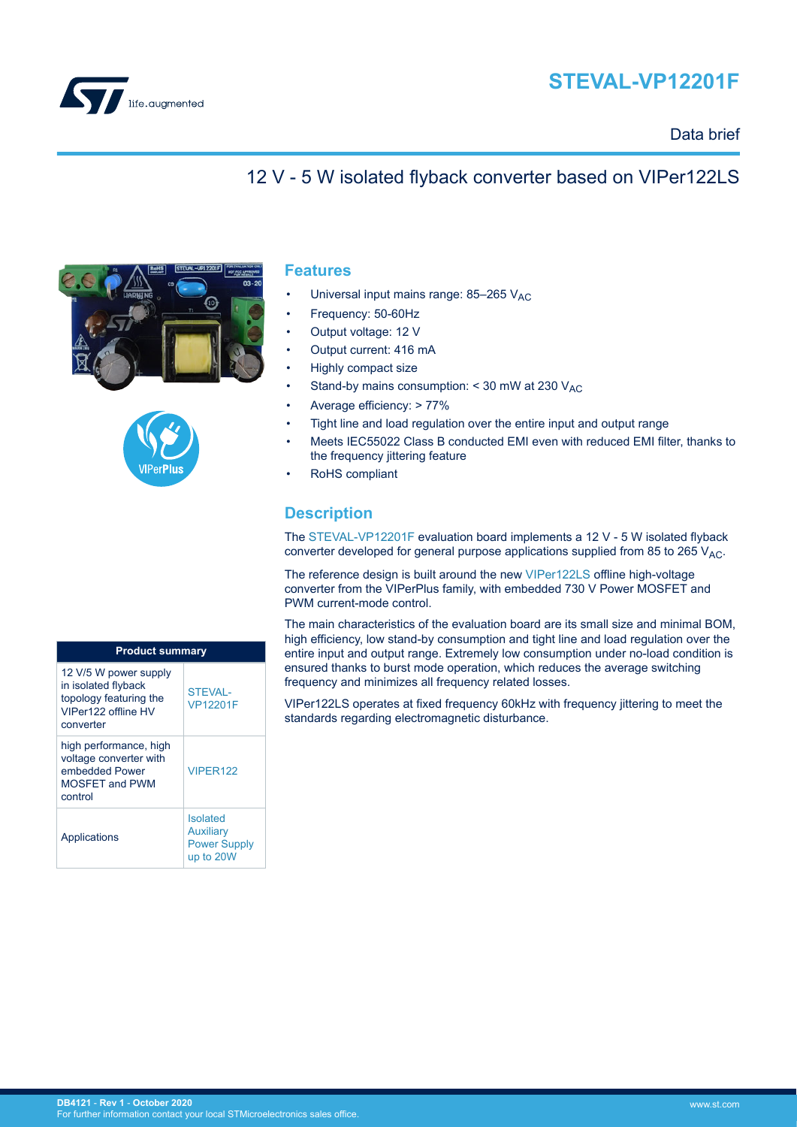



### Data brief

### 12 V - 5 W isolated flyback converter based on VIPer122LS





#### **Features**

- Universal input mains range:  $85-265$  V<sub>AC</sub>
- Frequency: 50-60Hz
- Output voltage: 12 V
- Output current: 416 mA
- Highly compact size
- Stand-by mains consumption:  $<$  30 mW at 230  $V_{AC}$
- Average efficiency: > 77%
- Tight line and load regulation over the entire input and output range
- Meets IEC55022 Class B conducted EMI even with reduced EMI filter, thanks to the frequency jittering feature
- RoHS compliant

### **Description**

The [STEVAL-VP12201F](https://www.st.com/en/product/steval-vp12201f?ecmp=tt9470_gl_link_feb2019&rt=db&id=DB4121) evaluation board implements a 12 V - 5 W isolated flyback converter developed for general purpose applications supplied from 85 to 265  $V_{AC}$ .

The reference design is built around the new [VIPer122LS](https://www.st.com/en/product/viper122?ecmp=tt9470_gl_link_feb2019&rt=db&id=DB4121) offline high-voltage converter from the VIPerPlus family, with embedded 730 V Power MOSFET and PWM current-mode control.

The main characteristics of the evaluation board are its small size and minimal BOM, high efficiency, low stand-by consumption and tight line and load regulation over the entire input and output range. Extremely low consumption under no-load condition is ensured thanks to burst mode operation, which reduces the average switching frequency and minimizes all frequency related losses.

VIPer122LS operates at fixed frequency 60kHz with frequency jittering to meet the standards regarding electromagnetic disturbance.

| <b>Product summary</b>                                                                                     |                                                                         |
|------------------------------------------------------------------------------------------------------------|-------------------------------------------------------------------------|
| 12 V/5 W power supply<br>in isolated flyback<br>topology featuring the<br>VIPer122 offline HV<br>converter | <b>STEVAL-</b><br><b>VP12201F</b>                                       |
| high performance, high<br>voltage converter with<br>embedded Power<br><b>MOSFFT and PWM</b><br>control     | VIPFR122                                                                |
| Applications                                                                                               | <b>Isolated</b><br><b>Auxiliary</b><br><b>Power Supply</b><br>up to 20W |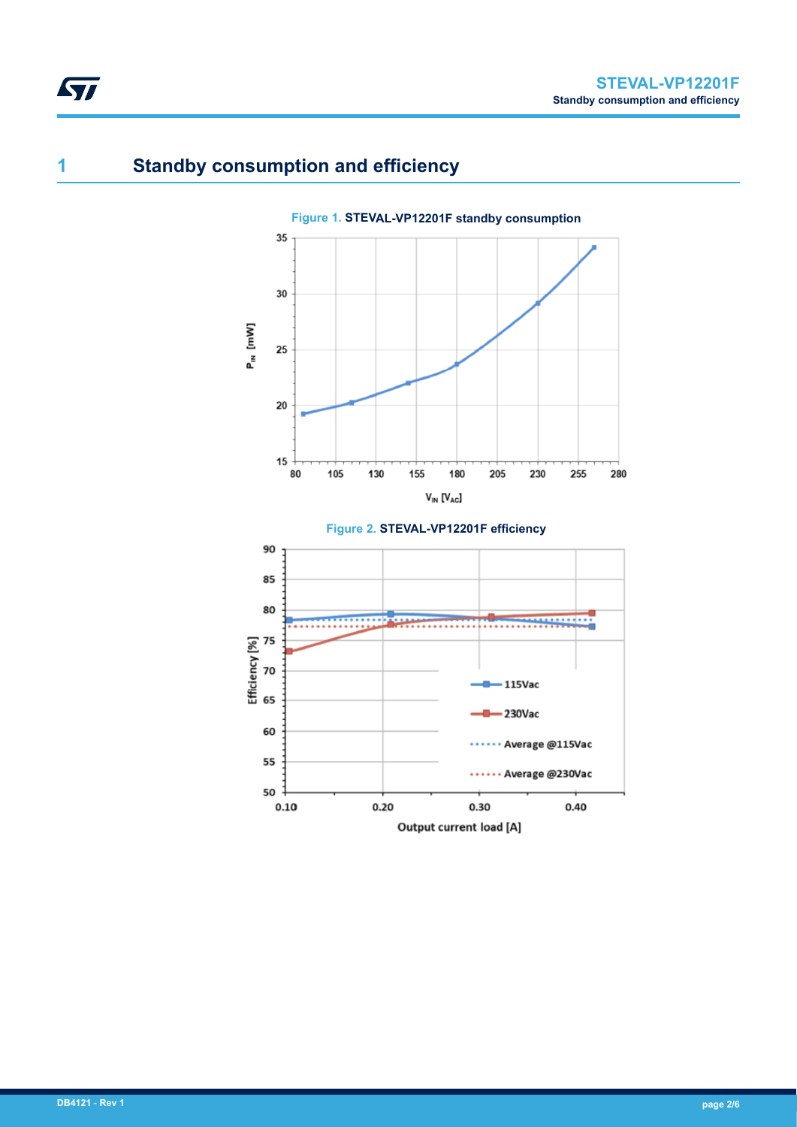# **1 Standby consumption and efficiency**

ST



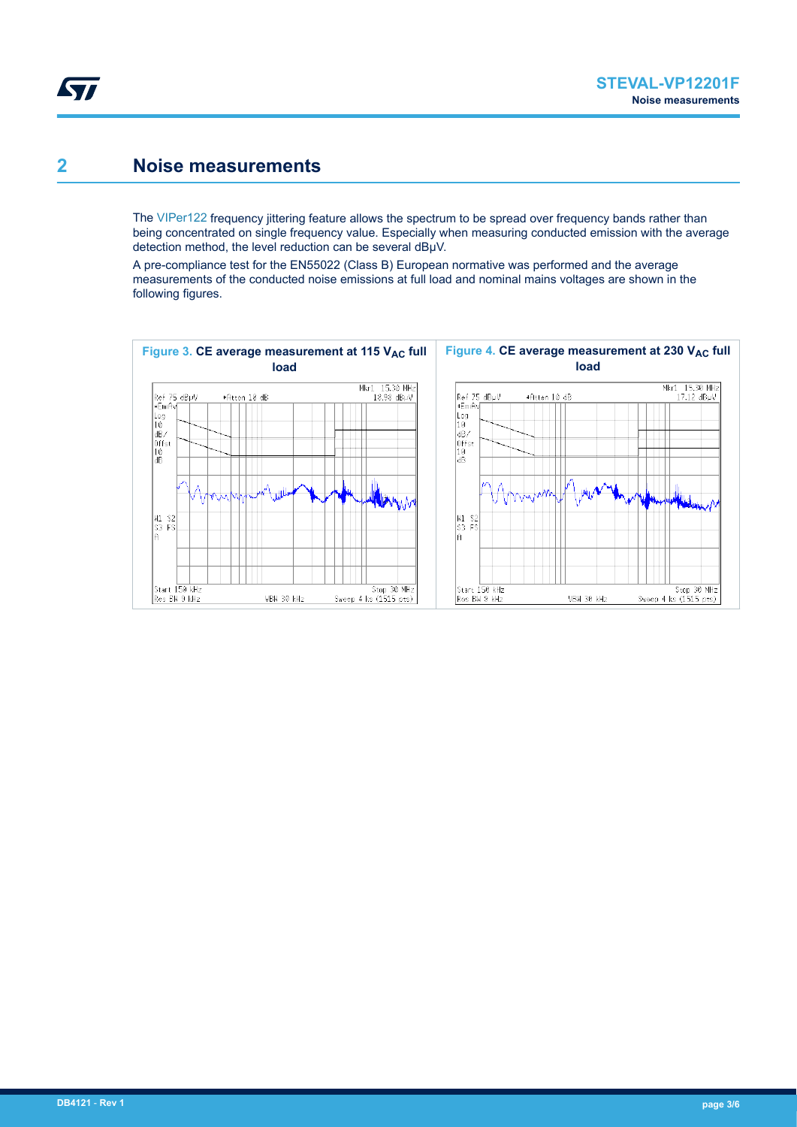### **2 Noise measurements**

The [VIPer122](https://www.st.com/en/product/viper122?ecmp=tt9470_gl_link_feb2019&rt=db&id=DB4121) frequency jittering feature allows the spectrum to be spread over frequency bands rather than being concentrated on single frequency value. Especially when measuring conducted emission with the average detection method, the level reduction can be several dBµV.

A pre-compliance test for the EN55022 (Class B) European normative was performed and the average measurements of the conducted noise emissions at full load and nominal mains voltages are shown in the following figures.

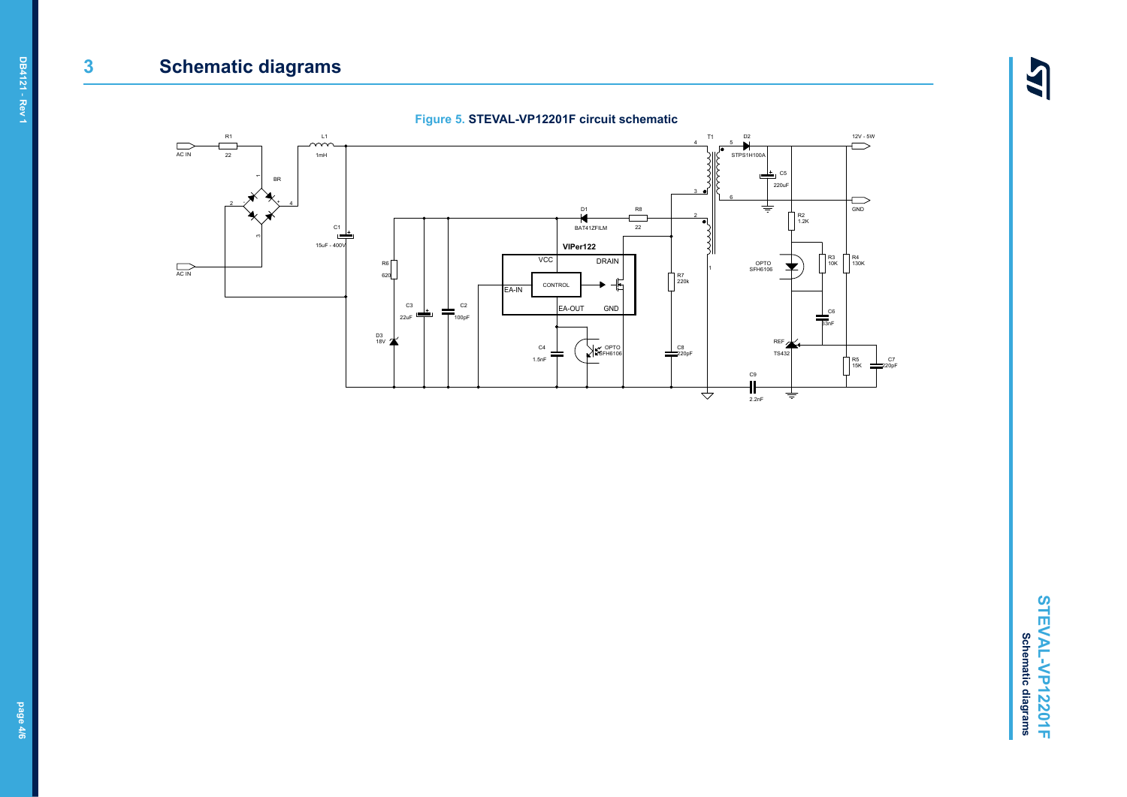## **3 Schematic diagrams**

 $\overline{\mathbf{A}}$ 





**DB4121** - **Rev 1**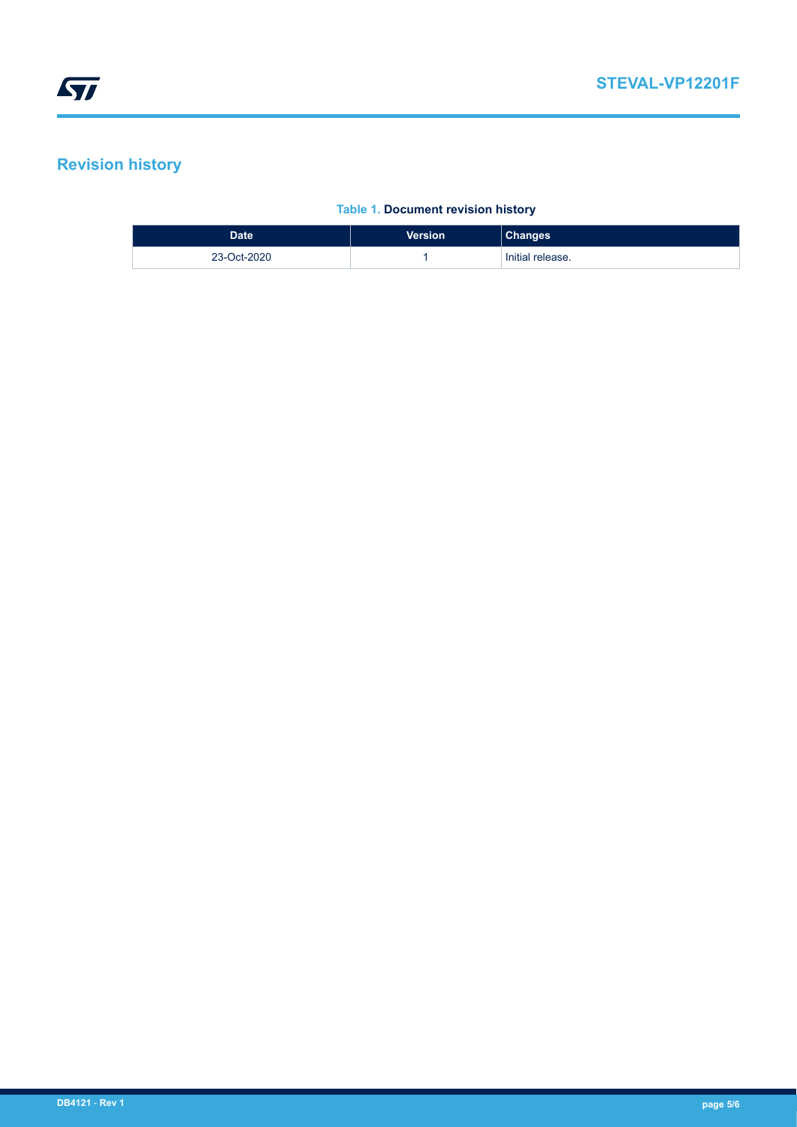## **Revision history**

#### **Table 1. Document revision history**

| Date <sup>1</sup> | Version | <b>Changes</b>   |
|-------------------|---------|------------------|
| 23-Oct-2020       |         | Initial release. |